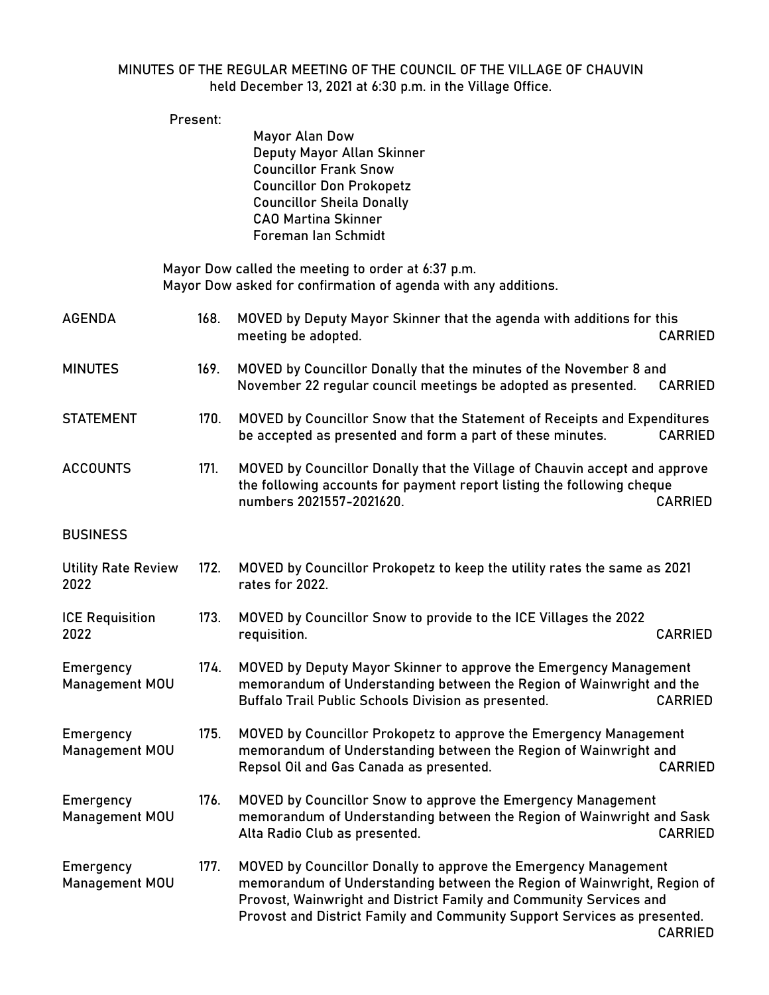## MINUTES OF THE REGULAR MEETING OF THE COUNCIL OF THE VILLAGE OF CHAUVIN held December 13, 2021 at 6:30 p.m. in the Village Office.

|                                    | Present: |                                                                                                                                                                                                                                                                                              |                |
|------------------------------------|----------|----------------------------------------------------------------------------------------------------------------------------------------------------------------------------------------------------------------------------------------------------------------------------------------------|----------------|
|                                    |          | <b>Mayor Alan Dow</b><br>Deputy Mayor Allan Skinner<br><b>Councillor Frank Snow</b><br><b>Councillor Don Prokopetz</b><br><b>Councillor Sheila Donally</b><br><b>CAO Martina Skinner</b><br>Foreman Ian Schmidt                                                                              |                |
|                                    |          | Mayor Dow called the meeting to order at 6:37 p.m.<br>Mayor Dow asked for confirmation of agenda with any additions.                                                                                                                                                                         |                |
| <b>AGENDA</b>                      | 168.     | MOVED by Deputy Mayor Skinner that the agenda with additions for this<br>meeting be adopted.                                                                                                                                                                                                 | <b>CARRIED</b> |
| <b>MINUTES</b>                     | 169.     | MOVED by Councillor Donally that the minutes of the November 8 and<br>November 22 regular council meetings be adopted as presented.                                                                                                                                                          | <b>CARRIED</b> |
| <b>STATEMENT</b>                   | 170.     | MOVED by Councillor Snow that the Statement of Receipts and Expenditures<br>be accepted as presented and form a part of these minutes.                                                                                                                                                       | <b>CARRIED</b> |
| <b>ACCOUNTS</b>                    | 171.     | MOVED by Councillor Donally that the Village of Chauvin accept and approve<br>the following accounts for payment report listing the following cheque<br>numbers 2021557-2021620.                                                                                                             | <b>CARRIED</b> |
| <b>BUSINESS</b>                    |          |                                                                                                                                                                                                                                                                                              |                |
| <b>Utility Rate Review</b><br>2022 | 172.     | MOVED by Councillor Prokopetz to keep the utility rates the same as 2021<br>rates for 2022.                                                                                                                                                                                                  |                |
| <b>ICE Requisition</b><br>2022     | 173.     | MOVED by Councillor Snow to provide to the ICE Villages the 2022<br>requisition.                                                                                                                                                                                                             | <b>CARRIED</b> |
| Emergency<br>Management MOU        | 174.     | MOVED by Deputy Mayor Skinner to approve the Emergency Management<br>memorandum of Understanding between the Region of Wainwright and the<br>Buffalo Trail Public Schools Division as presented.                                                                                             | <b>CARRIED</b> |
| Emergency<br>Management MOU        | 175.     | MOVED by Councillor Prokopetz to approve the Emergency Management<br>memorandum of Understanding between the Region of Wainwright and<br>Repsol Oil and Gas Canada as presented.                                                                                                             | <b>CARRIED</b> |
| Emergency<br>Management MOU        | 176.     | MOVED by Councillor Snow to approve the Emergency Management<br>memorandum of Understanding between the Region of Wainwright and Sask<br>Alta Radio Club as presented.                                                                                                                       | <b>CARRIED</b> |
| Emergency<br>Management MOU        | 177.     | MOVED by Councillor Donally to approve the Emergency Management<br>memorandum of Understanding between the Region of Wainwright, Region of<br>Provost, Wainwright and District Family and Community Services and<br>Provost and District Family and Community Support Services as presented. | <b>CARRIED</b> |